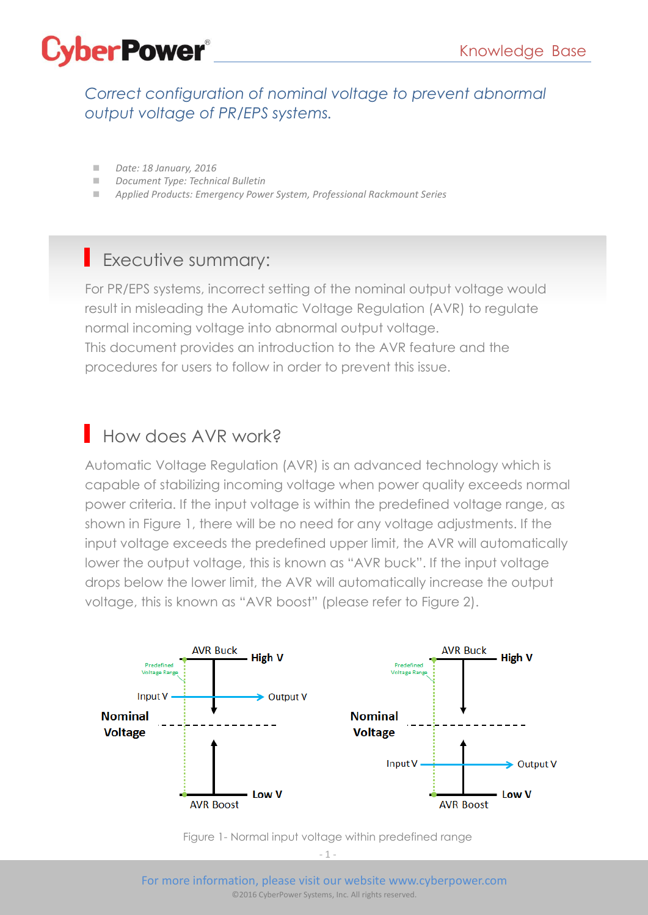

*Correct configuration of nominal voltage to prevent abnormal output voltage of PR/EPS systems.*

- *Date: 18 January, 2016*
- *Document Type: Technical Bulletin*
- *Applied Products: Emergency Power System, Professional Rackmount Series*

#### Executive summary:

For PR/EPS systems, incorrect setting of the nominal output voltage would result in misleading the Automatic Voltage Regulation (AVR) to regulate normal incoming voltage into abnormal output voltage. This document provides an introduction to the AVR feature and the procedures for users to follow in order to prevent this issue.

### How does AVR work?

Automatic Voltage Regulation (AVR) is an advanced technology which is capable of stabilizing incoming voltage when power quality exceeds normal power criteria. If the input voltage is within the predefined voltage range, as shown in Figure 1, there will be no need for any voltage adjustments. If the input voltage exceeds the predefined upper limit, the AVR will automatically lower the output voltage, this is known as "AVR buck". If the input voltage drops below the lower limit, the AVR will automatically increase the output voltage, this is known as "AVR boost" (please refer to Figure 2).



Figure 1- Normal input voltage within predefined range

 $-1$   $-$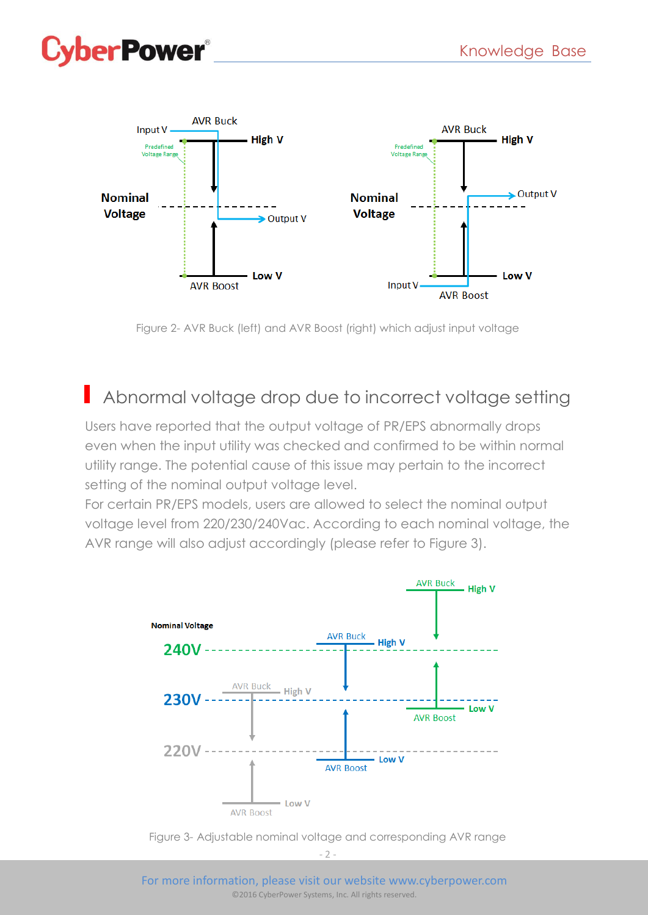# **erPower®**



Figure 2- AVR Buck (left) and AVR Boost (right) which adjust input voltage

### Abnormal voltage drop due to incorrect voltage setting

Users have reported that the output voltage of PR/EPS abnormally drops even when the input utility was checked and confirmed to be within normal utility range. The potential cause of this issue may pertain to the incorrect setting of the nominal output voltage level.

For certain PR/EPS models, users are allowed to select the nominal output voltage level from 220/230/240Vac. According to each nominal voltage, the AVR range will also adjust accordingly (please refer to Figure 3).



Figure 3- Adjustable nominal voltage and corresponding AVR range

 $-2$ .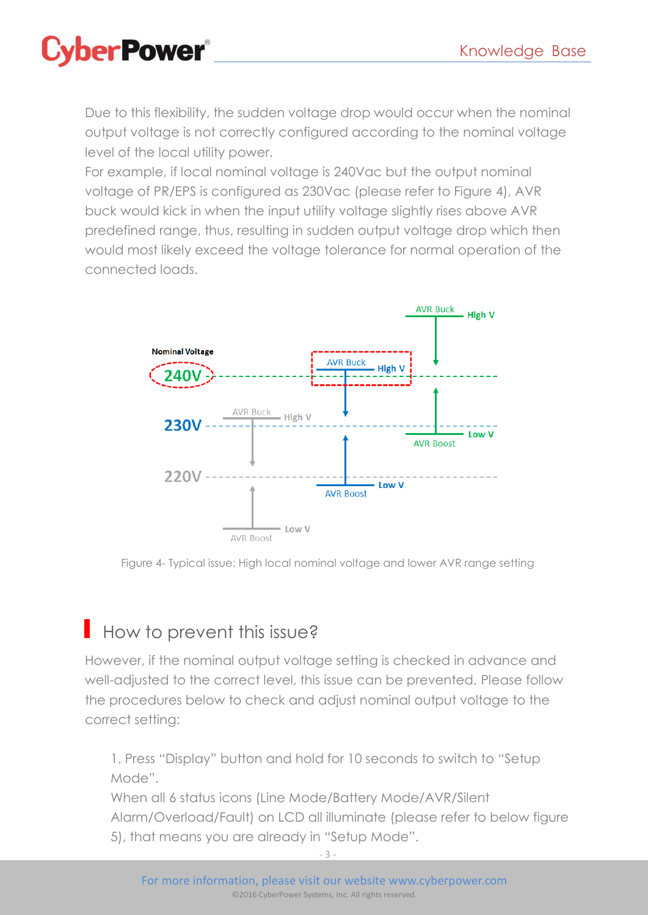

Due to this flexibility, the sudden voltage drop would occur when the nominal output voltage is not correctly configured according to the nominal voltage level of the local utility power.

For example, if local nominal voltage is 240Vac but the output nominal voltage of PR/EPS is configured as 230Vac (please refer to Figure 4), AVR buck would kick in when the input utility voltage slightly rises above AVR predefined range, thus, resulting in sudden output voltage drop which then would most likely exceed the voltage tolerance for normal operation of the connected loads.



Figure 4- Typical issue: High local nominal voltage and lower AVR range setting

### How to prevent this issue?

However, if the nominal output voltage setting is checked in advance and well-adjusted to the correct level, this issue can be prevented. Please follow the procedures below to check and adjust nominal output voltage to the correct setting:

1. Press "Display" button and hold for 10 seconds to switch to "Setup Mode".

When all 6 status icons (Line Mode/Battery Mode/AVR/Silent Alarm/Overload/Fault) on LCD all illuminate (please refer to below figure 5), that means you are already in "Setup Mode".

- 3 -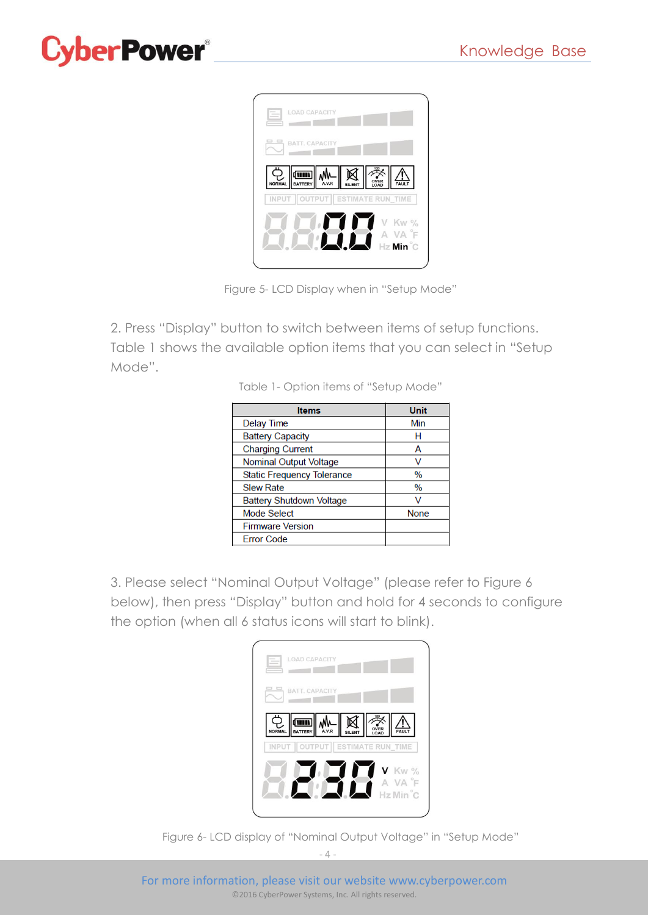# **perPower®**



Figure 5- LCD Display when in "Setup Mode"

2. Press "Display" button to switch between items of setup functions. Table 1 shows the available option items that you can select in "Setup Mode".

Table 1- Option items of "Setup Mode"

| <b>Items</b>                      | Unit          |
|-----------------------------------|---------------|
| <b>Delay Time</b>                 | Min           |
| <b>Battery Capacity</b>           | н             |
| <b>Charging Current</b>           | А             |
| Nominal Output Voltage            | V             |
| <b>Static Frequency Tolerance</b> | %             |
| <b>Slew Rate</b>                  | $\frac{0}{0}$ |
| Battery Shutdown Voltage          |               |
| Mode Select                       | <b>None</b>   |
| <b>Firmware Version</b>           |               |
| <b>Error Code</b>                 |               |

3. Please select "Nominal Output Voltage" (please refer to Figure 6 below), then press "Display" button and hold for 4 seconds to configure the option (when all 6 status icons will start to blink).

| <b>LOAD CAPACITY</b>                    |
|-----------------------------------------|
| <b>BATT, CAPACITY</b>                   |
| BATTERY AVR SILENT TO CAR               |
| INPUT   OUTPUT   ESTIMATE RUN TIME<br>Г |
| V Kw %<br>A VA F<br>Hz Min C            |
|                                         |

Figure 6- LCD display of "Nominal Output Voltage" in "Setup Mode"

 $-4 -$